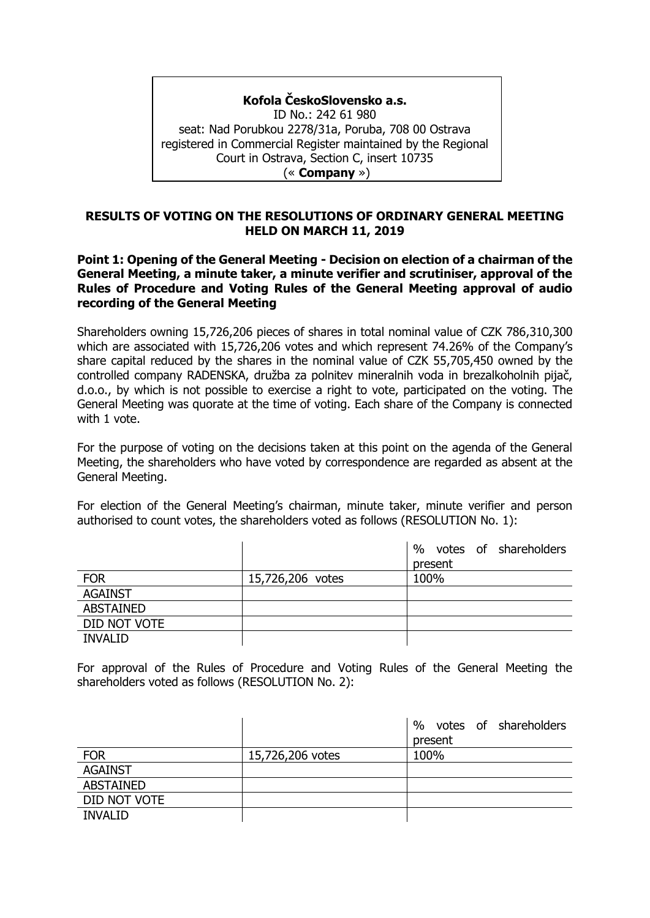# **Kofola ČeskoSlovensko a.s.**

ID No.: 242 61 980 seat: Nad Porubkou 2278/31a, Poruba, 708 00 Ostrava registered in Commercial Register maintained by the Regional Court in Ostrava, Section C, insert 10735 (« **Company** »)

## **RESULTS OF VOTING ON THE RESOLUTIONS OF ORDINARY GENERAL MEETING HELD ON MARCH 11, 2019**

## **Point 1: Opening of the General Meeting - Decision on election of a chairman of the General Meeting, a minute taker, a minute verifier and scrutiniser, approval of the Rules of Procedure and Voting Rules of the General Meeting approval of audio recording of the General Meeting**

Shareholders owning 15,726,206 pieces of shares in total nominal value of CZK 786,310,300 which are associated with 15,726,206 votes and which represent 74.26% of the Company's share capital reduced by the shares in the nominal value of CZK 55,705,450 owned by the controlled company RADENSKA, družba za polnitev mineralnih voda in brezalkoholnih pijač, d.o.o., by which is not possible to exercise a right to vote, participated on the voting. The General Meeting was quorate at the time of voting. Each share of the Company is connected with 1 vote.

For the purpose of voting on the decisions taken at this point on the agenda of the General Meeting, the shareholders who have voted by correspondence are regarded as absent at the General Meeting.

For election of the General Meeting's chairman, minute taker, minute verifier and person authorised to count votes, the shareholders voted as follows (RESOLUTION No. 1):

|                  |                  | votes of shareholders<br>$\%$ |
|------------------|------------------|-------------------------------|
|                  |                  | present                       |
| <b>FOR</b>       | 15,726,206 votes | 100%                          |
| <b>AGAINST</b>   |                  |                               |
| <b>ABSTAINED</b> |                  |                               |
| DID NOT VOTE     |                  |                               |
| <b>INVALID</b>   |                  |                               |

For approval of the Rules of Procedure and Voting Rules of the General Meeting the shareholders voted as follows (RESOLUTION No. 2):

|                  |                  | votes of shareholders<br>$\%$ |
|------------------|------------------|-------------------------------|
|                  |                  | present                       |
| <b>FOR</b>       | 15,726,206 votes | 100%                          |
| <b>AGAINST</b>   |                  |                               |
| <b>ABSTAINED</b> |                  |                               |
| DID NOT VOTE     |                  |                               |
| <b>INVALID</b>   |                  |                               |